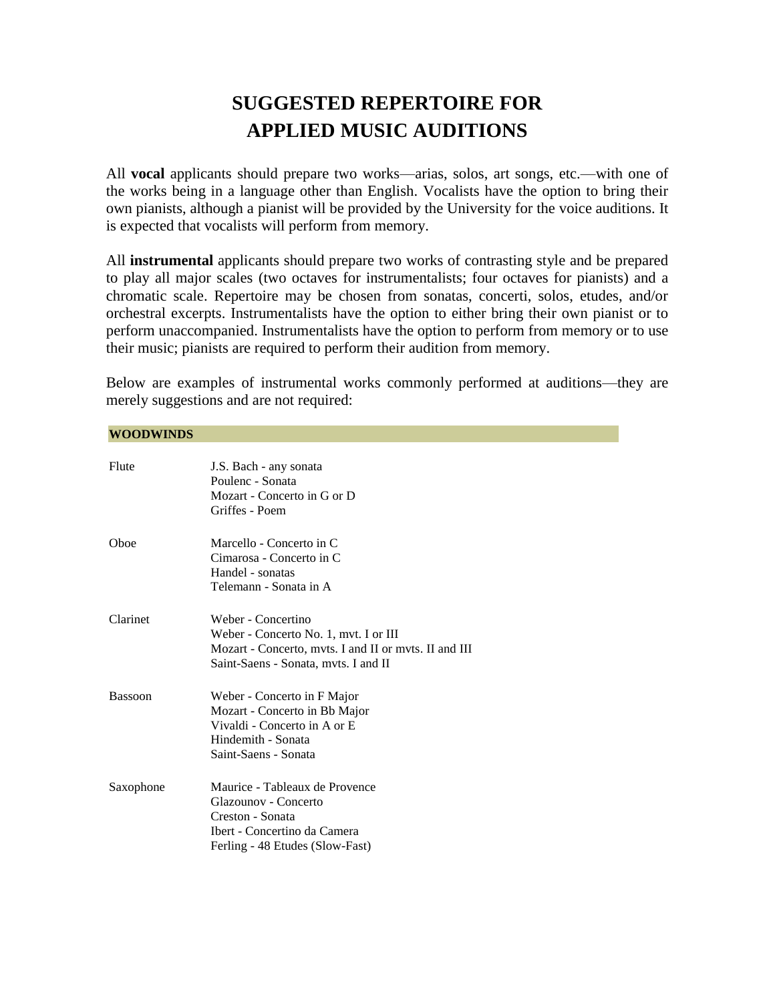# **SUGGESTED REPERTOIRE FOR APPLIED MUSIC AUDITIONS**

All **vocal** applicants should prepare two works—arias, solos, art songs, etc.—with one of the works being in a language other than English. Vocalists have the option to bring their own pianists, although a pianist will be provided by the University for the voice auditions. It is expected that vocalists will perform from memory.

All **instrumental** applicants should prepare two works of contrasting style and be prepared to play all major scales (two octaves for instrumentalists; four octaves for pianists) and a chromatic scale. Repertoire may be chosen from sonatas, concerti, solos, etudes, and/or orchestral excerpts. Instrumentalists have the option to either bring their own pianist or to perform unaccompanied. Instrumentalists have the option to perform from memory or to use their music; pianists are required to perform their audition from memory.

Below are examples of instrumental works commonly performed at auditions—they are merely suggestions and are not required:

# **WOODWINDS**

| Flute          | J.S. Bach - any sonata<br>Poulenc - Sonata<br>Mozart - Concerto in G or D<br>Griffes - Poem                                                                  |
|----------------|--------------------------------------------------------------------------------------------------------------------------------------------------------------|
| Oboe           | Marcello - Concerto in C<br>Cimarosa - Concerto in C<br>Handel - sonatas<br>Telemann - Sonata in A                                                           |
| Clarinet       | Weber - Concertino<br>Weber - Concerto No. 1, mvt. I or III<br>Mozart - Concerto, mvts. I and II or mvts. II and III<br>Saint-Saens - Sonata, mvts. I and II |
| <b>Bassoon</b> | Weber - Concerto in F Major<br>Mozart - Concerto in Bb Major<br>Vivaldi - Concerto in A or E<br>Hindemith - Sonata<br>Saint-Saens - Sonata                   |
| Saxophone      | Maurice - Tableaux de Provence<br>Glazounov - Concerto<br>Creston - Sonata<br>Ibert - Concertino da Camera<br>Ferling - 48 Etudes (Slow-Fast)                |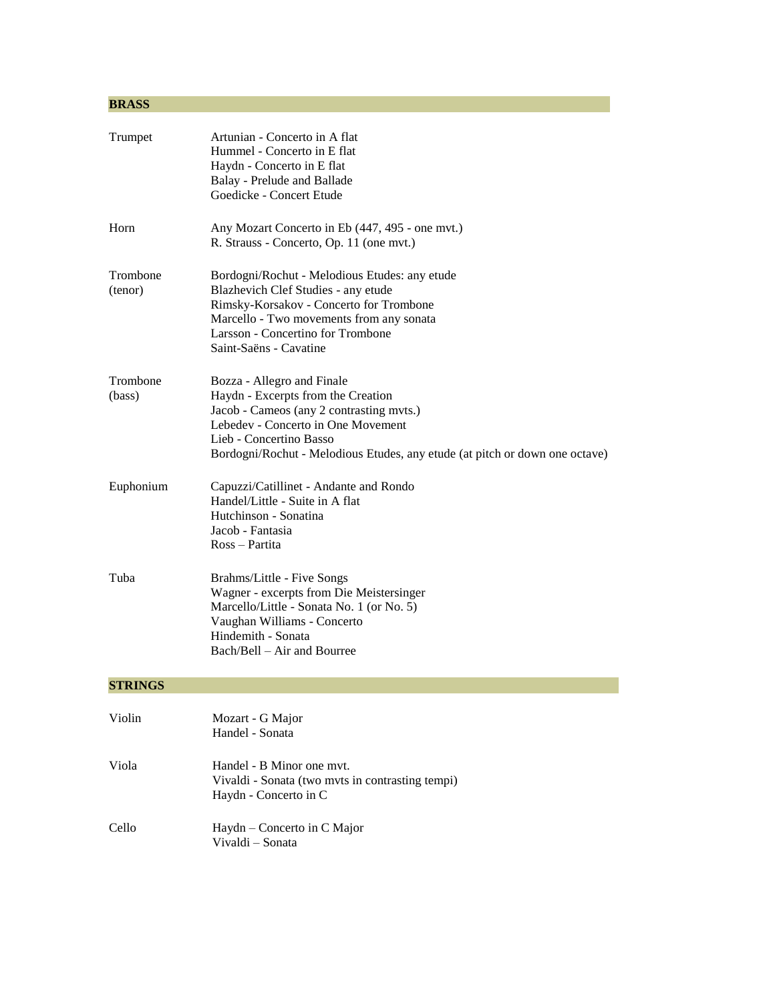# **BRASS**

| Trumpet             | Artunian - Concerto in A flat<br>Hummel - Concerto in E flat<br>Haydn - Concerto in E flat<br>Balay - Prelude and Ballade<br>Goedicke - Concert Etude                                                                                                        |
|---------------------|--------------------------------------------------------------------------------------------------------------------------------------------------------------------------------------------------------------------------------------------------------------|
| Horn                | Any Mozart Concerto in Eb (447, 495 - one mvt.)<br>R. Strauss - Concerto, Op. 11 (one mvt.)                                                                                                                                                                  |
| Trombone<br>(tenor) | Bordogni/Rochut - Melodious Etudes: any etude<br>Blazhevich Clef Studies - any etude<br>Rimsky-Korsakov - Concerto for Trombone<br>Marcello - Two movements from any sonata<br>Larsson - Concertino for Trombone<br>Saint-Saëns - Cavatine                   |
| Trombone<br>(bass)  | Bozza - Allegro and Finale<br>Haydn - Excerpts from the Creation<br>Jacob - Cameos (any 2 contrasting mvts.)<br>Lebedev - Concerto in One Movement<br>Lieb - Concertino Basso<br>Bordogni/Rochut - Melodious Etudes, any etude (at pitch or down one octave) |
| Euphonium           | Capuzzi/Catillinet - Andante and Rondo<br>Handel/Little - Suite in A flat<br>Hutchinson - Sonatina<br>Jacob - Fantasia<br>Ross – Partita                                                                                                                     |
| Tuba                | Brahms/Little - Five Songs<br>Wagner - excerpts from Die Meistersinger<br>Marcello/Little - Sonata No. 1 (or No. 5)<br>Vaughan Williams - Concerto<br>Hindemith - Sonata<br>Bach/Bell – Air and Bourree                                                      |
| <b>STRINGS</b>      |                                                                                                                                                                                                                                                              |
| Violin              | Mozart - G Major<br>Handel - Sonata                                                                                                                                                                                                                          |
| Viola               | Handel - B Minor one mvt.<br>Vivaldi - Sonata (two mvts in contrasting tempi)<br>Haydn - Concerto in C                                                                                                                                                       |
| Cello               | Haydn – Concerto in C Major<br>Vivaldi - Sonata                                                                                                                                                                                                              |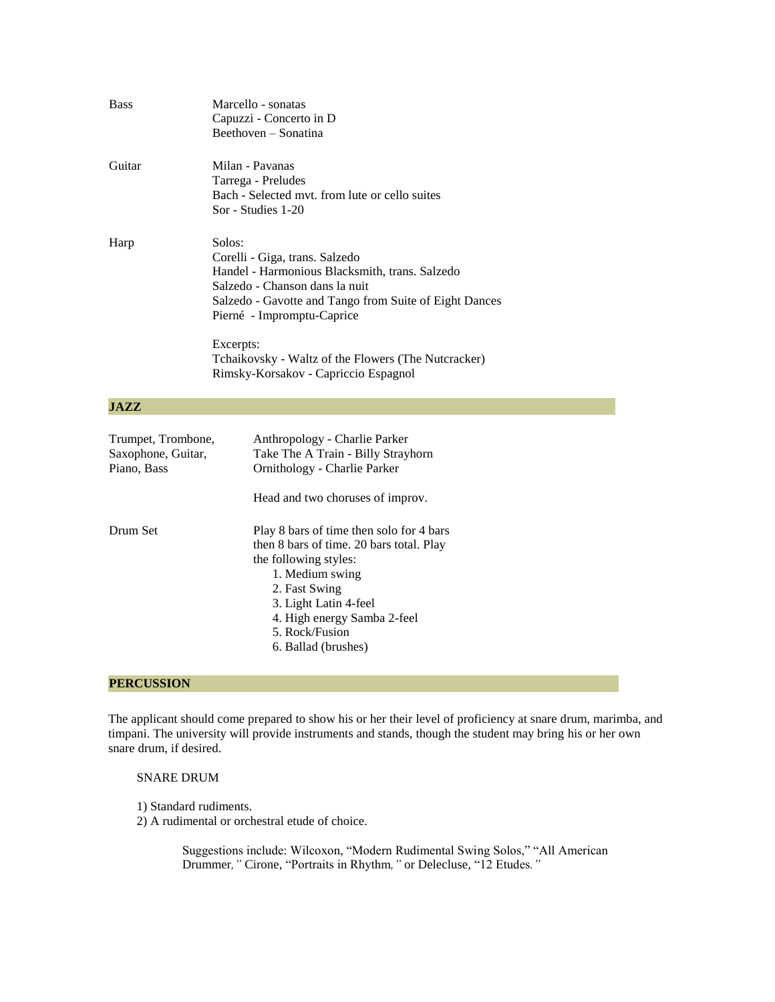| <b>Bass</b>                                             | Marcello - sonatas<br>Capuzzi - Concerto in D<br>Beethoven - Sonatina                                                                                                                                                                                                                                                            |
|---------------------------------------------------------|----------------------------------------------------------------------------------------------------------------------------------------------------------------------------------------------------------------------------------------------------------------------------------------------------------------------------------|
| Guitar                                                  | Milan - Pavanas<br>Tarrega - Preludes<br>Bach - Selected myt. from lute or cello suites<br>Sor - Studies 1-20                                                                                                                                                                                                                    |
| Harp                                                    | Solos:<br>Corelli - Giga, trans. Salzedo<br>Handel - Harmonious Blacksmith, trans. Salzedo<br>Salzedo - Chanson dans la nuit<br>Salzedo - Gavotte and Tango from Suite of Eight Dances<br>Pierné - Impromptu-Caprice<br>Excerpts:<br>Tchaikovsky - Waltz of the Flowers (The Nutcracker)<br>Rimsky-Korsakov - Capriccio Espagnol |
| <b>JAZZ</b>                                             |                                                                                                                                                                                                                                                                                                                                  |
| Trumpet, Trombone,<br>Saxophone, Guitar,<br>Piano, Bass | Anthropology - Charlie Parker<br>Take The A Train - Billy Strayhorn<br>Ornithology - Charlie Parker<br>Head and two choruses of improv.                                                                                                                                                                                          |
| Drum Set                                                | Play 8 bars of time then solo for 4 bars<br>then 8 bars of time. 20 bars total. Play<br>the following styles:<br>1. Medium swing<br>2. Fast Swing<br>3. Light Latin 4-feel<br>4. High energy Samba 2-feel<br>5. Rock/Fusion<br>6. Ballad (brushes)                                                                               |

# **PERCUSSION**

The applicant should come prepared to show his or her their level of proficiency at snare drum, marimba, and timpani. The university will provide instruments and stands, though the student may bring his or her own snare drum, if desired.

#### SNARE DRUM

- 1) Standard rudiments.
- 2) A rudimental or orchestral etude of choice.

Suggestions include: Wilcoxon, "Modern Rudimental Swing Solos," "All American Drummer*,"* Cirone, "Portraits in Rhythm*,"* or Delecluse, "12 Etudes*."*